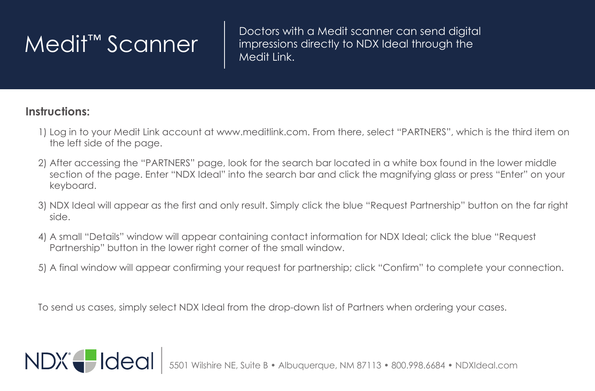$\mathsf{Medit}^{\mathsf{TM}}$   $\mathsf{Scanner}$   $\parallel$  Doctors with a Medit scanner can send digital  $\mathsf{Modit}$ impressions directly to NDX Ideal through the Medit Link.

## **Instructions:**

- 1) Log in to your Medit Link account at www.meditlink.com. From there, select "PARTNERS", which is the third item on the left side of the page.
- 2) After accessing the "PARTNERS" page, look for the search bar located in a white box found in the lower middle section of the page. Enter "NDX Ideal" into the search bar and click the magnifying glass or press "Enter" on your keyboard.
- 3) NDX Ideal will appear as the first and only result. Simply click the blue "Request Partnership" button on the far right side.
- 4) A small "Details" window will appear containing contact information for NDX Ideal; click the blue "Request Partnership" button in the lower right corner of the small window.
- 5) A final window will appear confirming your request for partnership; click "Confirm" to complete your connection.

To send us cases, simply select NDX Ideal from the drop-down list of Partners when ordering your cases.